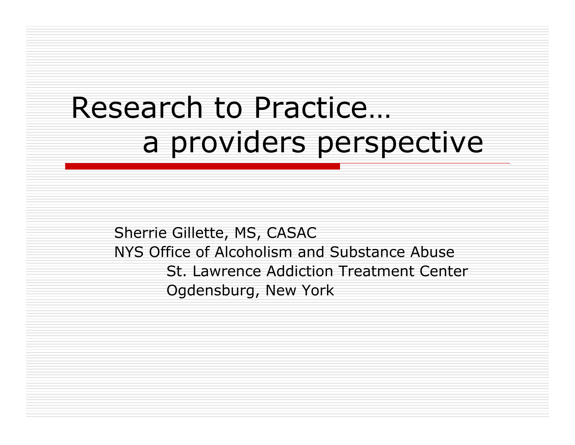# Research to Practice… a providers perspective

Sherrie Gillette, MS, CASA C NYS Office of Alcoholism and S ubstance Abuse St. Lawrence Addiction Treatment CenterOgdensburg, New York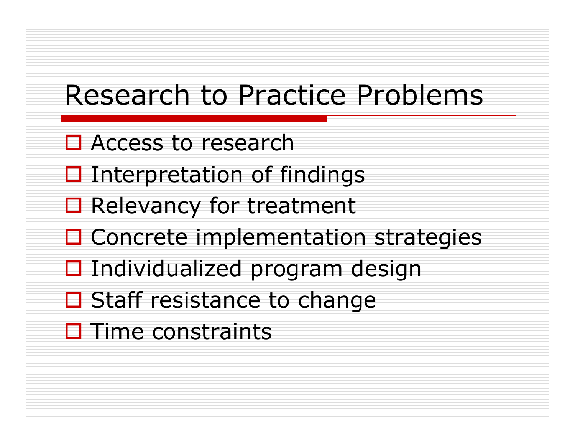# Research to Practice Problems

- □ Access to research
- $\square$  Interpretation of findings
- □ Relevancy for treatment
- □ Concrete implementation strategies
- $\Box$  Individualized program design
- □ Staff resistance to change
- $\square$  Time constraints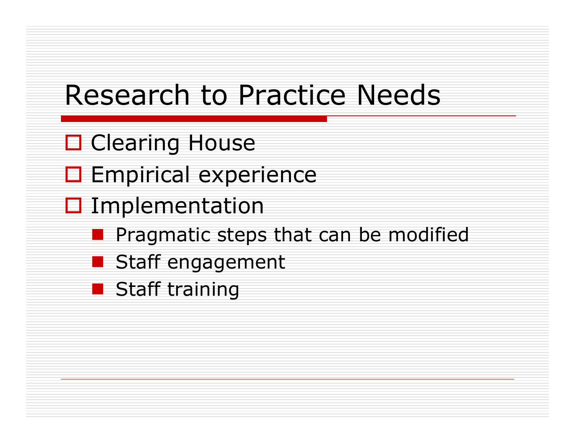# Research to Practice Needs

- □ Clearing House
- □ Empirical experience
- **O** Implementation
	- **Pragmatic steps that can be modified**
	- Staff engagement
	- **Staff training**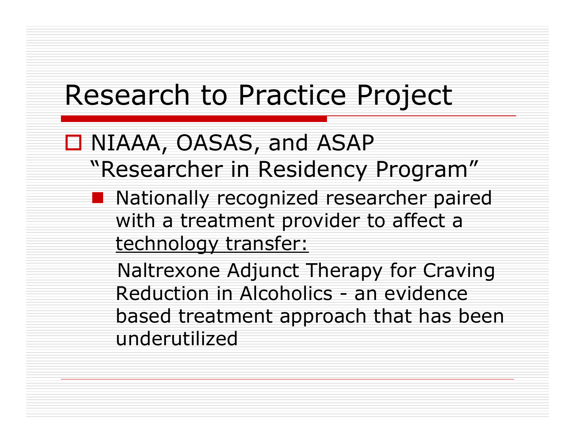#### Research to Practice Project

#### □ NIAAA, OASAS, and ASAP "Researcher in Residency Program"

■ Nationally recognized researcher paired with a treatment provider to affect a technology transfer:

Naltrexone Adjunct Therapy for Craving Reduction in Alcoholics - an evidence based treatment approach that has been underutilized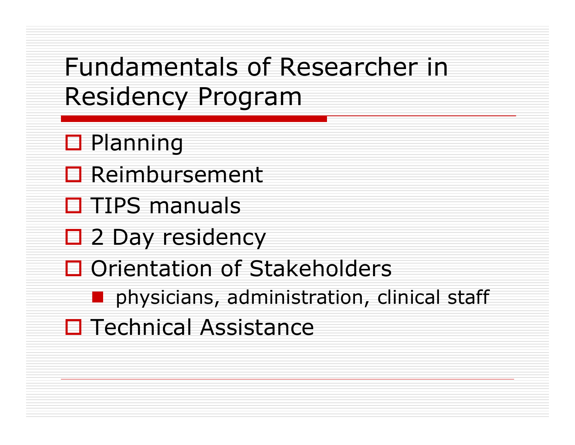#### Fundamentals of Researcher in Residency Program

- **□ Planning**
- **□ Reimbursement**
- □ TIPS manuals
- □ 2 Day residency
- □ Orientation of Stakeholders
	- physicians, administration, clinical staff
- □ Technical Assistance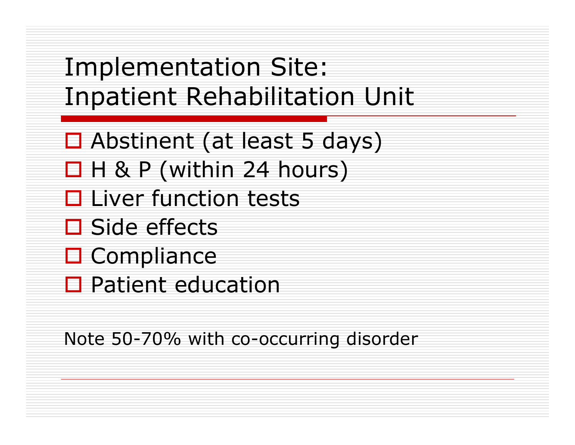Implementation Site: Inpatient Rehabilitation Unit

- Abstinent (at least 5 days)
- $\Box$  H & P (within 24 hours)
- $\square$  Liver function tests
- **□ Side effects**
- □ Compliance
- □ Patient education

Note 50-70% with co-occurring disorder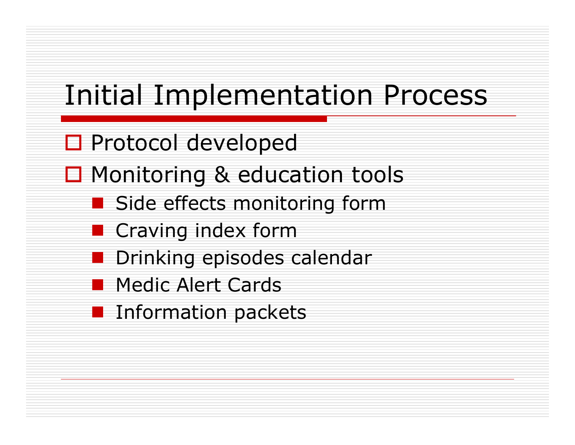# Initial Implementation Process

- □ Protocol developed
- □ Monitoring & education tools
	- Side effects monitoring form
	- **Craving index form**
	- $\mathcal{L}(\mathcal{L})$ Drinking episodes calendar
	- **Medic Alert Cards**
	- **Information packets**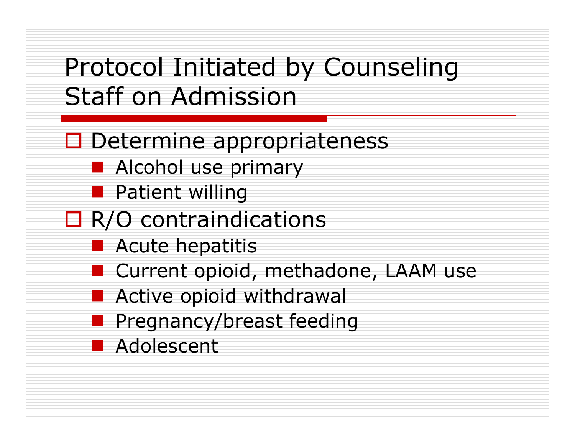# Protocol Initiated by Counseling Staff on Admission

- □ Determine appropriateness
	- **Alcohol use primary**
	- **Patient willing**
- □ R/O contraindications
	- **Acute hepatitis**
	- Current opioid, methadone, LAAM use
	- **Active opioid withdrawal**
	- **Pregnancy/breast feeding**
	- **Adolescent**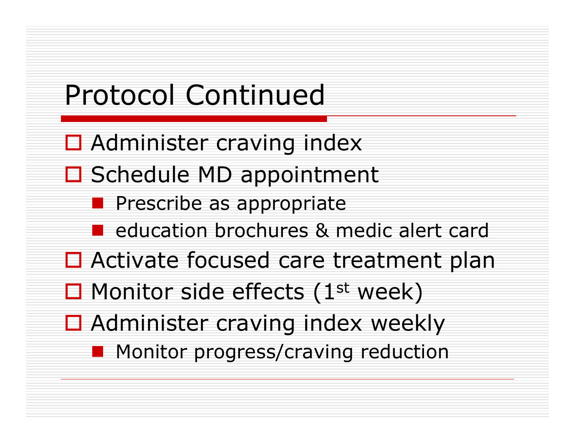# Protocol Continued

- □ Administer craving index
- □ Schedule MD appointment
	- **Prescribe as appropriate**
	- **E** education brochures & medic alert card
- □ Activate focused care treatment plan
- $\square$  Monitor side effects (1<sup>st</sup> week)
- □ Administer craving index weekly
	- **Monitor progress/craving reduction**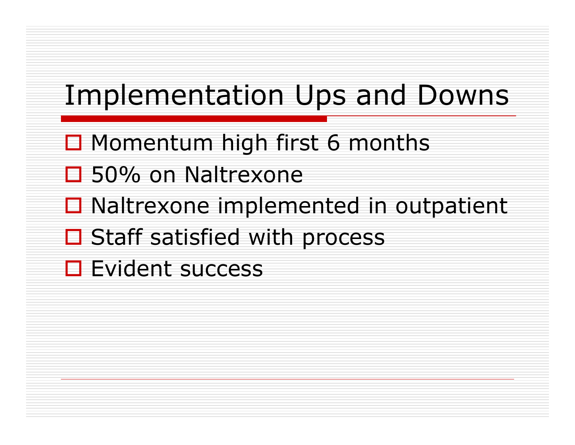# Implementation Ups and Downs

- □ Momentum high first 6 months
- □ 50% on Naltrexone
- **□** Naltrexone implemented in outpatient
- **□ Staff satisfied with process**
- **□** Evident success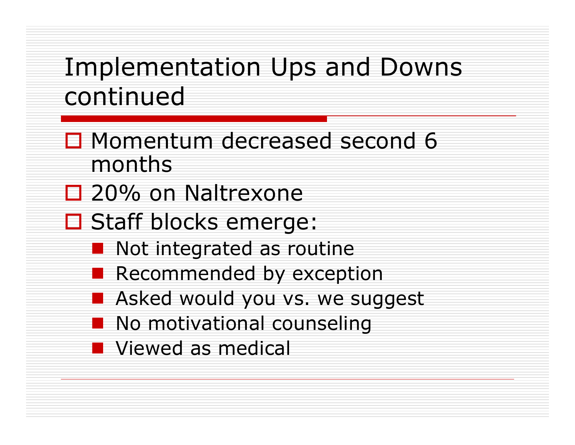## Implementation Ups and Downs continued

- □ Momentum decreased second 6 months
- □ 20% on Naltrexone
- □ Staff blocks emerge:
	- **Not integrated as routine**
	- **Recommended by exception**
	- **B** Asked would you vs. we suggest
	- **No motivational counseling**
	- **Newed as medical**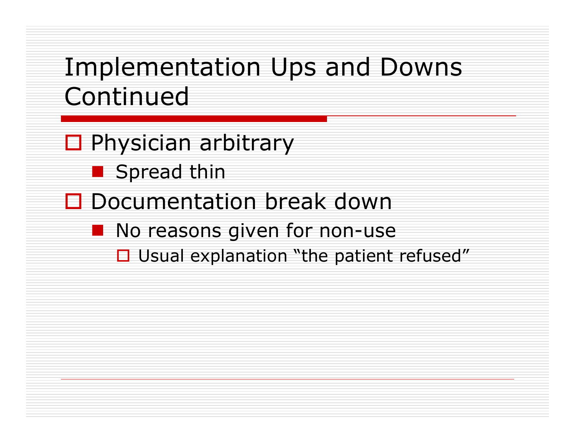#### Implementation Ups and Downs Continued

- □ Physician arbitrary
	- **Spread thin**
- □ Documentation break down
	- **No reasons given for non-use** 
		- $\Box$  Usual explanation "the patient refused"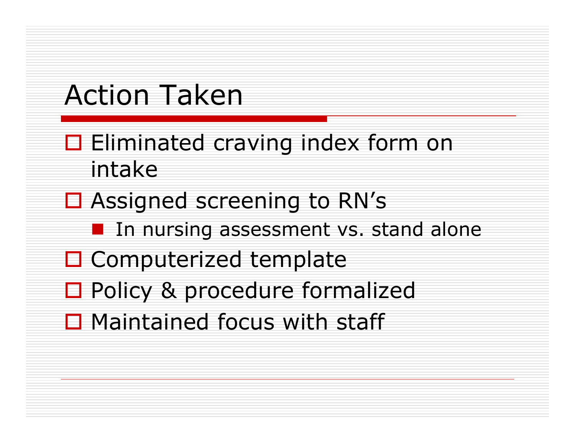# Action Taken

- $\square$  Eliminated craving index form on intake
- **□ Assigned screening to RN's** 
	- **In nursing assessment vs. stand alone**
- □ Computerized template
- □ Policy & procedure formalized
- $\Box$  Maintained focus with staff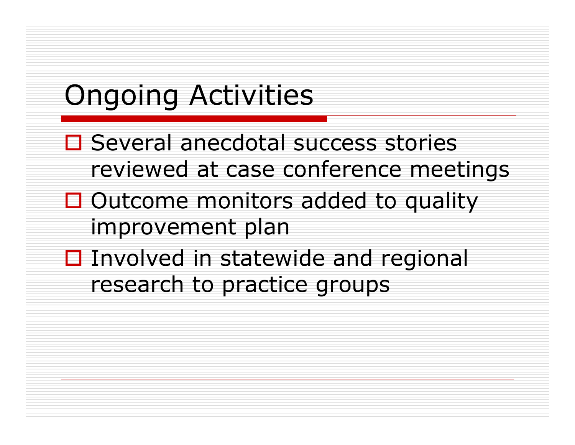# Ongoing Activities

- □ Several anecdotal success stories reviewed at case conference meetings
- $\Box$  Outcome monitors added to quality improvement plan
- □ Involved in statewide and regional research to practice groups